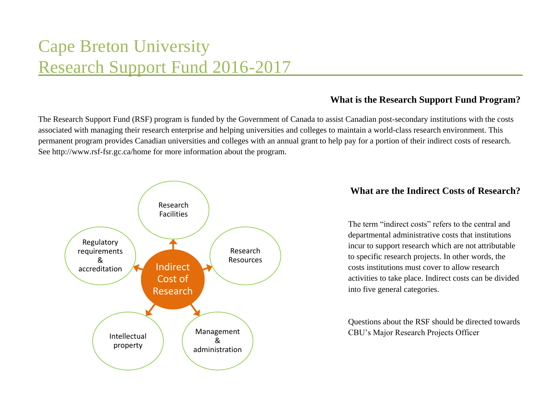# Cape Breton University Research Support Fund 2016-2017

# **What is the Research Support Fund Program?**

The Research Support Fund (RSF) program is funded by the Government of Canada to assist Canadian post-secondary institutions with the costs associated with managing their research enterprise and helping universities and colleges to maintain a world-class research environment. This permanent program provides Canadian universities and colleges with an annual grant to help pay for a portion of their indirect costs of research. See<http://www.rsf-fsr.gc.ca/home> for more information about the program.



# **What are the Indirect Costs of Research?**

The term "indirect costs" refers to the central and departmental administrative costs that institutions incur to support research which are not attributable to specific research projects. In other words, the costs institutions must cover to allow research activities to take place. Indirect costs can be divided into five general categories.

Questions about the RSF should be directed towards CBU's Major Research Projects Officer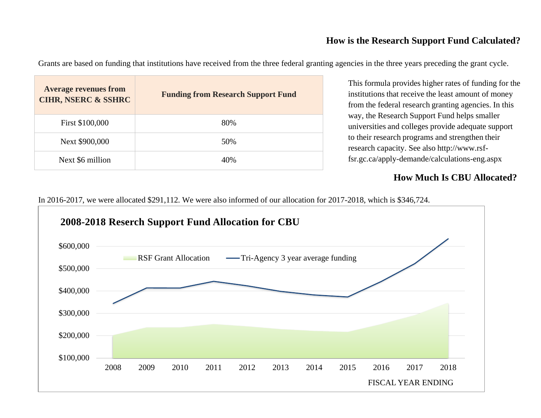# **How is the Research Support Fund Calculated?**

Grants are based on funding that institutions have received from the three federal granting agencies in the three years preceding the grant cycle.

| <b>Average revenues from</b><br><b>CIHR, NSERC &amp; SSHRC</b> | <b>Funding from Research Support Fund</b> |
|----------------------------------------------------------------|-------------------------------------------|
| First \$100,000                                                | 80%                                       |
| Next \$900,000                                                 | 50%                                       |
| Next \$6 million                                               | 40%                                       |

This formula provides higher rates of funding for the institutions that receive the least amount of money from the federal research granting agencies. In this way, the Research Support Fund helps smaller universities and colleges provide adequate support to their research programs and strengthen their research capacity. See also http://www.rsffsr.gc.ca/apply-demande/calculations-eng.aspx

# **How Much Is CBU Allocated?**

In 2016-2017, we were allocated \$291,112. We were also informed of our allocation for 2017-2018, which is \$346,724.